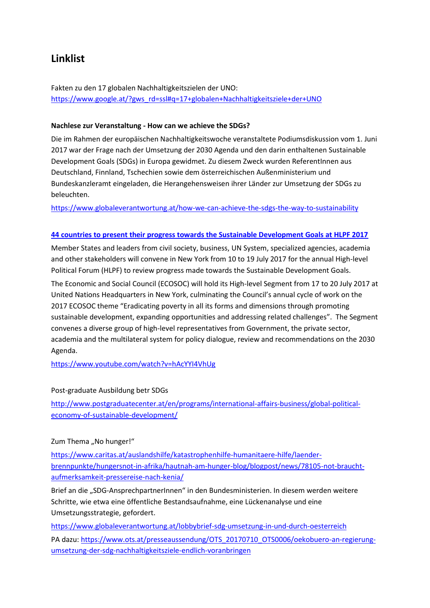# **Linklist**

Fakten zu den 17 globalen Nachhaltigkeitszielen der UNO: [https://www.google.at/?gws\\_rd=ssl#q=17+globalen+Nachhaltigkeitsziele+der+UNO](https://www.google.at/?gws_rd=ssl#q=17+globalen+Nachhaltigkeitsziele+der+UNO)

## **Nachlese zur Veranstaltung - How can we achieve the SDGs?**

Die im Rahmen der europäischen Nachhaltigkeitswoche veranstaltete Podiumsdiskussion vom 1. Juni 2017 war der Frage nach der Umsetzung der 2030 Agenda und den darin enthaltenen Sustainable Development Goals (SDGs) in Europa gewidmet. Zu diesem Zweck wurden ReferentInnen aus Deutschland, Finnland, Tschechien sowie dem österreichischen Außenministerium und Bundeskanzleramt eingeladen, die Herangehensweisen ihrer Länder zur Umsetzung der SDGs zu beleuchten.

<https://www.globaleverantwortung.at/how-we-can-achieve-the-sdgs-the-way-to-sustainability>

## **[44 countries to present their progress towards the Sustainable Development Goals at HLPF 2017](https://www.un.org/development/desa/undesavoice/feature/2017/07)**

Member States and leaders from civil society, business, UN System, specialized agencies, academia and other stakeholders will convene in New York from 10 to 19 July 2017 for the annual High-level Political Forum (HLPF) to review progress made towards the Sustainable Development Goals.

The Economic and Social Council (ECOSOC) will hold its High-level Segment from 17 to 20 July 2017 at United Nations Headquarters in New York, culminating the Council's annual cycle of work on the 2017 ECOSOC theme "Eradicating poverty in all its forms and dimensions through promoting sustainable development, expanding opportunities and addressing related challenges". The Segment convenes a diverse group of high-level representatives from Government, the private sector, academia and the multilateral system for policy dialogue, review and recommendations on the 2030 Agenda.

<https://www.youtube.com/watch?v=hAcYYI4VhUg>

## Post-graduate Ausbildung betr SDGs

[http://www.postgraduatecenter.at/en/programs/international-affairs-business/global-political](http://www.postgraduatecenter.at/en/programs/international-affairs-business/global-political-economy-of-sustainable-development/)[economy-of-sustainable-development/](http://www.postgraduatecenter.at/en/programs/international-affairs-business/global-political-economy-of-sustainable-development/)

## Zum Thema ..No hunger!"

[https://www.caritas.at/auslandshilfe/katastrophenhilfe-humanitaere-hilfe/laender](https://www.caritas.at/auslandshilfe/katastrophenhilfe-humanitaere-hilfe/laender-brennpunkte/hungersnot-in-afrika/hautnah-am-hunger-blog/blogpost/news/78105-not-braucht-aufmerksamkeit-pressereise-nach-kenia/)[brennpunkte/hungersnot-in-afrika/hautnah-am-hunger-blog/blogpost/news/78105-not-braucht](https://www.caritas.at/auslandshilfe/katastrophenhilfe-humanitaere-hilfe/laender-brennpunkte/hungersnot-in-afrika/hautnah-am-hunger-blog/blogpost/news/78105-not-braucht-aufmerksamkeit-pressereise-nach-kenia/)[aufmerksamkeit-pressereise-nach-kenia/](https://www.caritas.at/auslandshilfe/katastrophenhilfe-humanitaere-hilfe/laender-brennpunkte/hungersnot-in-afrika/hautnah-am-hunger-blog/blogpost/news/78105-not-braucht-aufmerksamkeit-pressereise-nach-kenia/)

Brief an die "SDG-AnsprechpartnerInnen" in den Bundesministerien. In diesem werden weitere Schritte, wie etwa eine öffentliche Bestandsaufnahme, eine Lückenanalyse und eine Umsetzungsstrategie, gefordert.

<https://www.globaleverantwortung.at/lobbybrief-sdg-umsetzung-in-und-durch-oesterreich> PA dazu: [https://www.ots.at/presseaussendung/OTS\\_20170710\\_OTS0006/oekobuero-an-regierung](https://www.ots.at/presseaussendung/OTS_20170710_OTS0006/oekobuero-an-regierung-umsetzung-der-sdg-nachhaltigkeitsziele-endlich-voranbringen)[umsetzung-der-sdg-nachhaltigkeitsziele-endlich-voranbringen](https://www.ots.at/presseaussendung/OTS_20170710_OTS0006/oekobuero-an-regierung-umsetzung-der-sdg-nachhaltigkeitsziele-endlich-voranbringen)